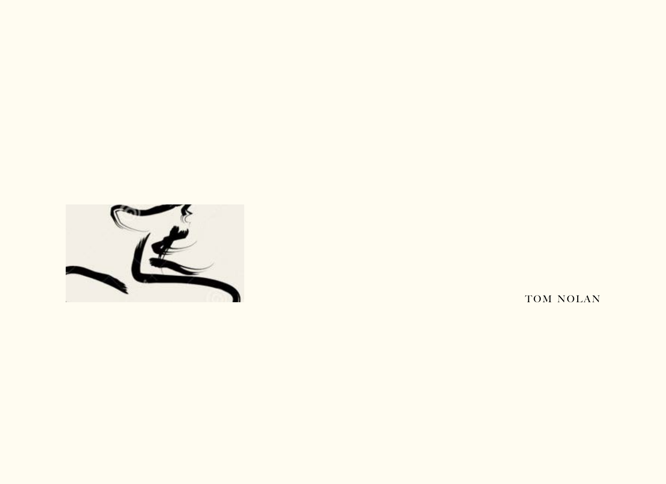

TOM NOLAN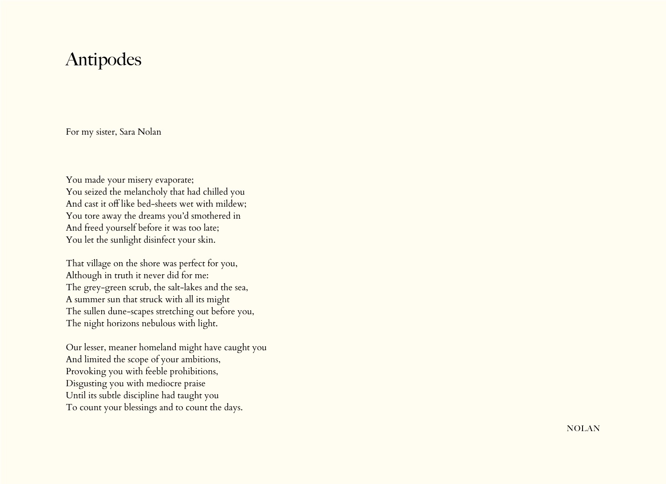## Antipodes

For my sister, Sara Nolan

You made your misery evaporate; You seized the melancholy that had chilled you And cast it off like bed-sheets wet with mildew; You tore away the dreams you'd smothered in And freed yourself before it was too late; You let the sunlight disinfect your skin.

That village on the shore was perfect for you, Although in truth it never did for me: The grey-green scrub, the salt-lakes and the sea, A summer sun that struck with all its might The sullen dune-scapes stretching out before you, The night horizons nebulous with light.

Our lesser, meaner homeland might have caught you And limited the scope of your ambitions, Provoking you with feeble prohibitions, Disgusting you with mediocre praise Until its subtle discipline had taught you To count your blessings and to count the days.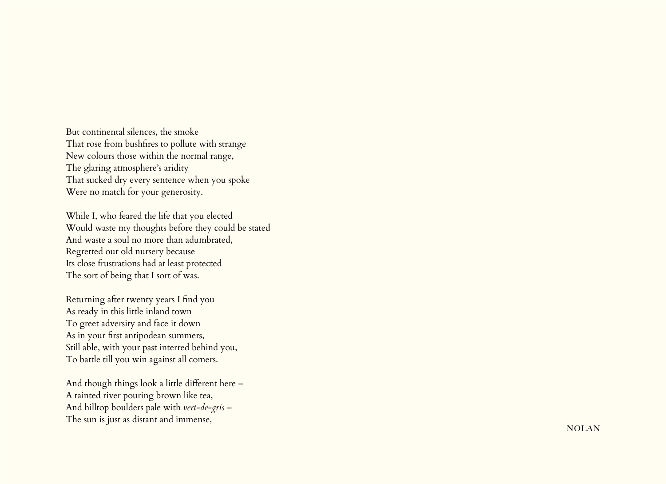But continental silences, the smoke That rose from bushfires to pollute with strange New colours those within the normal range, The glaring atmosphere's aridity That sucked dry every sentence when you spoke Were no match for your generosity.

While I, who feared the life that you elected Would waste my thoughts before they could be stated And waste a soul no more than adumbrated, Regretted our old nursery because Its close frustrations had at least protected The sort of being that I sort of was.

Returning after twenty years I find you As ready in this little inland town To greet adversity and face it down As in your first antipodean summers, Still able, with your past interred behind you, To battle till you win against all comers.

And though things look a little different here – A tainted river pouring brown like tea, And hilltop boulders pale with *vert-de-gris* – The sun is just as distant and immense,